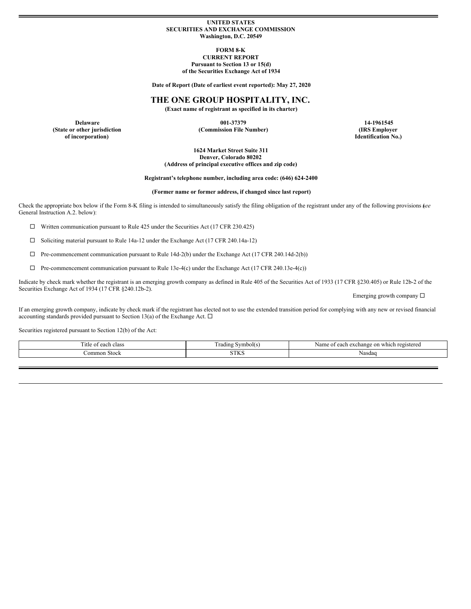#### **UNITED STATES SECURITIES AND EXCHANGE COMMISSION Washington, D.C. 20549**

#### **FORM 8-K CURRENT REPORT Pursuant to Section 13 or 15(d) of the Securities Exchange Act of 1934**

**Date of Report (Date of earliest event reported): May 27, 2020**

**THE ONE GROUP HOSPITALITY, INC.**

**(Exact name of registrant as specified in its charter)**

**(State or other jurisdiction of incorporation)**

**Delaware 001-37379 14-1961545 (Commission File Number) (IRS Employer**

**Identification No.)**

**1624 Market Street Suite 311 Denver, Colorado 80202 (Address of principal executive offices and zip code)**

**Registrant's telephone number, including area code: (646) 624-2400**

**(Former name or former address, if changed since last report)**

Check the appropriate box below if the Form 8-K filing is intended to simultaneously satisfy the filing obligation of the registrant under any of the following provisions (*see* General Instruction A.2. below):

 $\Box$  Written communication pursuant to Rule 425 under the Securities Act (17 CFR 230.425)

¨ Soliciting material pursuant to Rule 14a-12 under the Exchange Act (17 CFR 240.14a-12)

 $\Box$  Pre-commencement communication pursuant to Rule 14d-2(b) under the Exchange Act (17 CFR 240.14d-2(b))

 $\Box$  Pre-commencement communication pursuant to Rule 13e-4(c) under the Exchange Act (17 CFR 240.13e-4(c))

Indicate by check mark whether the registrant is an emerging growth company as defined in Rule 405 of the Securities Act of 1933 (17 CFR §230.405) or Rule 12b-2 of the Securities Exchange Act of 1934 (17 CFR §240.12b-2).

Emerging growth company  $\square$ 

If an emerging growth company, indicate by check mark if the registrant has elected not to use the extended transition period for complying with any new or revised financial accounting standards provided pursuant to Section 13(a) of the Exchange Act.  $\Box$ 

Securities registered pursuant to Section 12(b) of the Act:

| $\sim$<br><sub>1</sub> tle<br>$\sim$<br>$\sim$<br>. | $\sim$<br>Frading Symbol(s | ı which<br>i registered<br>exchange<br>$\alpha$ n<br>Nam<br>anoh<br>сасн |
|-----------------------------------------------------|----------------------------|--------------------------------------------------------------------------|
| ommon<br>Stock<br>.                                 | C T T<br>$1\,$             | Nasdac                                                                   |
|                                                     |                            |                                                                          |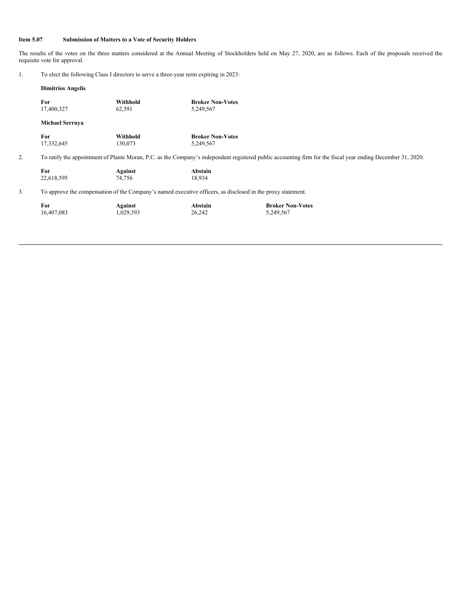## **Item 5.07 Submission of Matters to a Vote of Security Holders**

The results of the votes on the three matters considered at the Annual Meeting of Stockholders held on May 27, 2020, are as follows. Each of the proposals received the requisite vote for approval.

| To elect the following Class I directors to serve a three-year term expiring in 2023: |  |
|---------------------------------------------------------------------------------------|--|
|                                                                                       |  |

|    | <b>Dimitrios Angelis</b>                                                                                                                                     |                      |                                      |                                      |  |  |
|----|--------------------------------------------------------------------------------------------------------------------------------------------------------------|----------------------|--------------------------------------|--------------------------------------|--|--|
|    | For<br>17,400,327                                                                                                                                            | Withhold<br>62,391   | <b>Broker Non-Votes</b><br>5,249,567 |                                      |  |  |
|    | <b>Michael Serruya</b>                                                                                                                                       |                      |                                      |                                      |  |  |
|    | For<br>17,332,645                                                                                                                                            | Withhold<br>130,073  | <b>Broker Non-Votes</b><br>5,249,567 |                                      |  |  |
| 2. | To ratify the appointment of Plante Moran, P.C. as the Company's independent registered public accounting firm for the fiscal year ending December 31, 2020. |                      |                                      |                                      |  |  |
|    | For<br>22,618,595                                                                                                                                            | Against<br>74,756    | Abstain<br>18,934                    |                                      |  |  |
| 3. | To approve the compensation of the Company's named executive officers, as disclosed in the proxy statement.                                                  |                      |                                      |                                      |  |  |
|    | For<br>16,407,083                                                                                                                                            | Against<br>1,029,393 | Abstain<br>26,242                    | <b>Broker Non-Votes</b><br>5,249,567 |  |  |